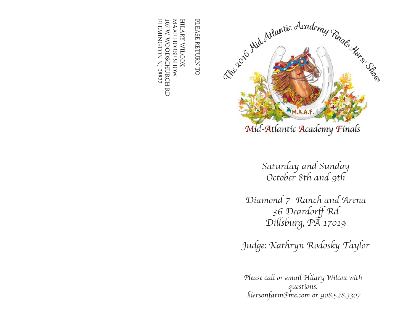

*Saturday and Sunday October 8th and 9th* 

*Diamond 7 Ranch and Arena*  36 Deardorff Rd *Dillsburg, PA 17019*

*Judge: Kathryn Rodosky Taylor*

*Please call or email Hilary Wilcox with questions. kiersonfarm@me.com or 908.528.3307*

PLEASE RETURN TO PLEASE RETURN TO

FLEMINGTON NJ 08822 FLEMINGTON NJ 08822 107 W. WOODSCHURCH RD MAAF HORSE SHOW MAAF HORSE SHOW HILARY WILCOX HILARY WILCOX 107 W. WOODSCHURCH RD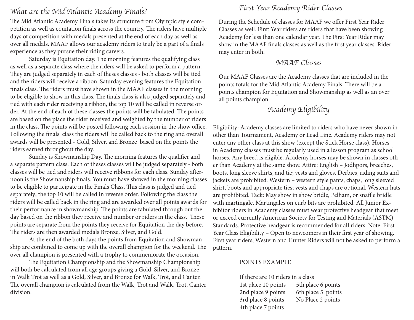# *What are the Mid Atlantic Academy Finals? First Year Academy Rider Classes*

The Mid Atlantic Academy Finals takes its structure from Olympic style competition as well as equitation finals across the country. The riders have multiple days of competition with medals presented at the end of each day as well as over all medals. MAAF allows our academy riders to truly be a part of a finals experience as they pursue their riding careers.

Saturday is Equitation day. The morning features the qualifying class as well as a separate class where the riders will be asked to perform a pattern. They are judged separately in each of theses classes - both classes will be tied and the riders will receive a ribbon. Saturday evening features the Equitation finals class. The riders must have shown in the MAAF classes in the morning to be eligible to show in this class. The finals class is also judged separately and tied with each rider receiving a ribbon, the top 10 will be called in reverse order. At the end of each of these classes the points will be tabulated. The points are based on the place the rider received and weighted by the number of riders in the class. The points will be posted following each session in the show office. Following the finals class the riders will be called back to the ring and overall awards will be presented - Gold, Silver, and Bronze based on the points the riders earned throughout the day.

Sunday is Showmanship Day. The morning features the qualifier and a separate pattern class. Each of theses classes will be judged separately - both classes will be tied and riders will receive ribbons for each class. Sunday afternoon is the Showmanship finals. You must have showed in the morning classes to be eligible to participate in the Finals Class. This class is judged and tied separately; the top 10 will be called in reverse order. Following the class the riders will be called back in the ring and are awarded over all points awards for their performance in showmanship. The points are tabulated through out the day based on the ribbon they receive and number or riders in the class. These points are separate from the points they receive for Equitation the day before. The riders are then awarded medals Bronze, Silver, and Gold.

At the end of the both days the points from Equitation and Showmanship are combined to come up with the overall champion for the weekend. The over all champion is presented with a trophy to commemorate the occasion.

The Equitation Championship and the Showmanship Championship will both be calculated from all age groups giving a Gold, Silver, and Bronze in Walk Trot as well as a Gold, Silver, and Bronze for Walk, Trot, and Canter. The overall champion is calculated from the Walk, Trot and Walk, Trot, Canter division.

During the Schedule of classes for MAAF we offer First Year Rider Classes as well. First Year riders are riders that have been showing Academy for less than one calendar year. The First Year Rider may show in the MAAF finals classes as well as the first year classes. Rider may enter in both.

### *MAAF Classes*

Our MAAF Classes are the Academy classes that are included in the points totals for the Mid Atlantic Academy Finals. There will be a points champion for Equitation and Showmanship as well as an over all points champion.

### *Academy Eligibility*

Eligibility: Academy classes are limited to riders who have never shown in other than Tournament, Academy or Lead Line. Academy riders may not enter any other class at this show (except the Stick Horse class). Horses in Academy classes must be regularly used in a lesson program as school horses. Any breed is eligible. Academy horses may be shown in classes other than Academy at the same show. Attire: English – Jodhpors, breeches, boots, long sleeve shirts, and tie; vests and gloves. Derbies, riding suits and jackets are prohibited. Western – western style pants, chaps, long sleeved shirt, boots and appropriate ties; vests and chaps are optional. Western hats are prohibited. Tack: May show in show bridle, Pelham, or snaffle bridle with martingale. Martingales on curb bits are prohibited. All Junior Exhibitor riders in Academy classes must wear protective headgear that meet or exceed currently American Society for Testing and Materials (ASTM) Standards. Protective headgear is recommended for all riders. Note: First Year Class Eligibility – Open to newcomers in their first year of showing. First year riders, Western and Hunter Riders will not be asked to perform a pattern.

### POINTS EXAMPLE

If there are 10 riders in a class 1st place 10 points 5th place 6 points 2nd place 9 points 6th place 5 points 3rd place 8 points No Place 2 points 4th place 7 points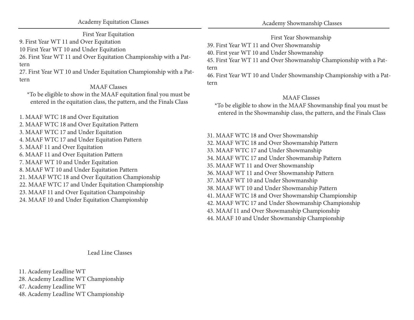First Year Equitation

9. First Year WT 11 and Over Equitation

10 First Year WT 10 and Under Equitation

26. First Year WT 11 and Over Equitation Championship with a Pattern

27. First Year WT 10 and Under Equitation Championship with a Pattern

#### MAAF Classes

\*To be eligible to show in the MAAF equitation final you must be entered in the equitation class, the pattern, and the Finals Class

1. MAAF WTC 18 and Over Equitation 2. MAAF WTC 18 and Over Equitation Pattern 3. MAAF WTC 17 and Under Equitation 4. MAAF WTC 17 and Under Equitation Pattern 5. MAAF 11 and Over Equitation 6. MAAF 11 and Over Equitation Pattern 7. MAAF WT 10 and Under Equitation 8. MAAF WT 10 and Under Equitation Pattern 21. MAAF WTC 18 and Over Equitation Championship 22. MAAF WTC 17 and Under Equitation Championship 23. MAAF 11 and Over Equitation Champoinship 24. MAAF 10 and Under Equitation Championship

First Year Showmanship

39. First Year WT 11 and Over Showmanship

40. First year WT 10 and Under Showmanship

45. First Year WT 11 and Over Showmanship Championship with a Pattern

46. First Year WT 10 and Under Showmanship Championship with a Pattern

### MAAF Classes

\*To be eligible to show in the MAAF Showmanship final you must be entered in the Showmanship class, the pattern, and the Finals Class

31. MAAF WTC 18 and Over Showmanship 32. MAAF WTC 18 and Over Showmanship Pattern 33. MAAF WTC 17 and Under Showmanship 34. MAAF WTC 17 and Under Showmanship Pattern 35. MAAF WT 11 and Over Showmanship 36. MAAF WT 11 and Over Showmanship Pattern 37. MAAF WT 10 and Under Showmanship 38. MAAF WT 10 and Under Showmanship Pattern 41. MAAF WTC 18 and Over Showmanship Championship 42. MAAF WTC 17 and Under Showmanship Championship 43. MAAf 11 and Over Showmanship Championship 44. MAAF 10 and Under Showmanship Championship

Lead Line Classes

11. Academy Leadline WT 28. Academy Leadline WT Championship 47. Academy Leadline WT 48. Academy Leadline WT Championship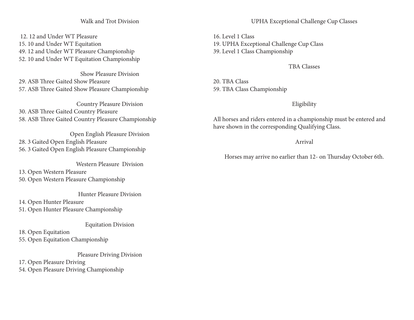#### Walk and Trot Division

 12. 12 and Under WT Pleasure 15. 10 and Under WT Equitation 49. 12 and Under WT Pleasure Championship 52. 10 and Under WT Equitation Championship

Show Pleasure Division 29. ASB Three Gaited Show Pleasure 57. ASB Three Gaited Show Pleasure Championship

Country Pleasure Division 30. ASB Three Gaited Country Pleasure 58. ASB Three Gaited Country Pleasure Championship

Open English Pleasure Division 28. 3 Gaited Open English Pleasure 56. 3 Gaited Open English Pleasure Championship

Western Pleasure Division 13. Open Western Pleasure 50. Open Western Pleasure Championship

Hunter Pleasure Division

14. Open Hunter Pleasure 51. Open Hunter Pleasure Championship

#### Equitation Division

18. Open Equitation 55. Open Equitation Championship

Pleasure Driving Division

17. Open Pleasure Driving 54. Open Pleasure Driving Championship

16. Level 1 Class 19. UPHA Exceptional Challenge Cup Class 39. Level 1 Class Championship

#### TBA Classes

20. TBA Class 59. TBA Class Championship

#### Eligibility

All horses and riders entered in a championship must be entered and have shown in the corresponding Qualifying Class.

#### Arrival

Horses may arrive no earlier than 12- on Thursday October 6th.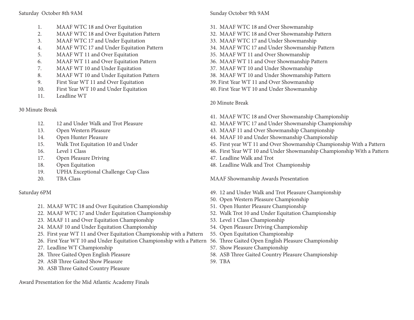#### Saturday October 8th 9AM

- 1. MAAF WTC 18 and Over Equitation
- 2. MAAF WTC 18 and Over Equitation Pattern
- 3. MAAF WTC 17 and Under Equitation
- 4. MAAF WTC 17 and Under Equitation Pattern
- 5. MAAF WT 11 and Over Equitation
- 6. MAAF WT 11 and Over Equitation Pattern
- 7. MAAF WT 10 and Under Equitation
- 8. MAAF WT 10 and Under Equitation Pattern
- 9. First Year WT 11 and Over Equitation
- 10. First Year WT 10 and Under Equitation
- 11. Leadline WT

30 Minute Break

- 12. 12 and Under Walk and Trot Pleasure
- 13. Open Western Pleasure
- 14. Open Hunter Pleasure
- 15. Walk Trot Equitation 10 and Under
- 16. Level 1 Class
- 17. Open Pleasure Driving
- 18. Open Equitation
- 19. UPHA Exceptional Challenge Cup Class
- 20. TBA Class

### Saturday 6PM

- 21. MAAF WTC 18 and Over Equitation Championship
- 22. MAAF WTC 17 and Under Equitation Championship
- 23. MAAF 11 and Over Equitation Championship
- 24. MAAF 10 and Under Equitation Championship
- 25. First year WT 11 and Over Equitation Championship with a Pattern
- 26. First Year WT 10 and Under Equitation Championship with a Pattern
- 27. Leadline WT Championship
- 28. Three Gaited Open English Pleasure
- 29. ASB Three Gaited Show Pleasure
- 30. ASB Three Gaited Country Pleasure

Award Presentation for the Mid Atlantic Academy Finals

#### Sunday October 9th 9AM

- 31. MAAF WTC 18 and Over Showmanship
- 32. MAAF WTC 18 and Over Showmanship Pattern
- 33. MAAF WTC 17 and Under Showmanship
- 34. MAAF WTC 17 and Under Showmanship Pattern
- 35. MAAF WT 11 and Over Showmanship
- 36. MAAF WT 11 and Over Showmanship Pattern
- 37. MAAF WT 10 and Under Showmanship
- 38. MAAF WT 10 and Under Showmanship Pattern
- 39. First Year WT 11 and Over Showmanship
- 40. First Year WT 10 and Under Showmanship

#### 20 Minute Break

- 41. MAAF WTC 18 and Over Showmanship Championship
- 42. MAAF WTC 17 and Under Showmanship Championship
- 43. MAAF 11 and Over Showmanship Championship
- 44. MAAF 10 and Under Showmanship Championship
- 45. First year WT 11 and Over Showmanship Championship With a Pattern
- 46. First Year WT 10 and Under Showmanship Championship With a Pattern
- 47. Leadline Walk and Trot
- 48. Leadline Walk and Trot Championship

MAAF Showmanship Awards Presentation

- 49. 12 and Under Walk and Trot Pleasure Championship
- 50. Open Western Pleasure Championship
- 51. Open Hunter Pleasure Championship
- 52. Walk Trot 10 and Under Equitation Championship
- 53. Level 1 Class Championship
- 54. Open Pleasure Driving Championship
- 55. Open Equitation Championship
- 56. Three Gaited Open English Pleasure Championship
- 57. Show Pleasure Championship
- 58. ASB Three Gaited Country Pleasure Championship
- 59. TBA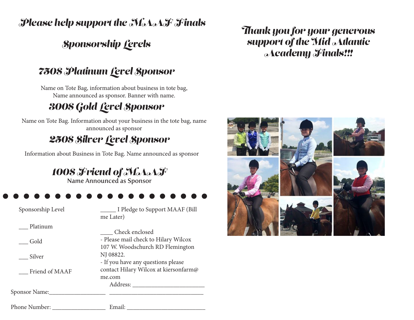*Please help support the MAAF Finals* 

## *Sponsorship Levels*

## *750\$ Platinum Level Sponsor*

Name on Tote Bag, information about business in tote bag, Name announced as sponsor. Banner with name.

# *300\$ Gold Level Sponsor*

Name on Tote Bag. Information about your business in the tote bag, name announced as sponsor

## *250\$ Silver Level Sponsor*

Information about Business in Tote Bag. Name announced as sponsor

*100\$ Friend of MAAF*

Name Announced as Sponsor

Phone Number: \_\_\_\_\_\_\_\_\_\_\_\_\_\_\_\_\_ Email: \_\_\_\_\_\_\_\_\_\_\_\_\_\_\_\_\_\_\_\_\_\_\_\_\_

Sponsorship Level

\_\_\_\_\_ I Pledge to Support MAAF (Bill me Later)

| Check enclosed                        |  |  |  |  |  |
|---------------------------------------|--|--|--|--|--|
| - Please mail check to Hilary Wilcox  |  |  |  |  |  |
| 107 W. Woodschurch RD Flemington      |  |  |  |  |  |
| NJ 08822.                             |  |  |  |  |  |
| - If you have any questions please    |  |  |  |  |  |
| contact Hilary Wilcox at kiersonfarm@ |  |  |  |  |  |
| me.com                                |  |  |  |  |  |
| Address:                              |  |  |  |  |  |
|                                       |  |  |  |  |  |
|                                       |  |  |  |  |  |
|                                       |  |  |  |  |  |

*Thank you for your generous support of the Mid Atlantic Academy Finals!!!* 

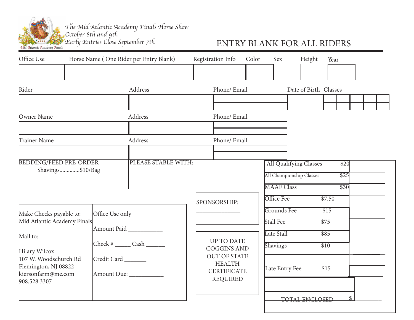

*The Mid Atlantic Academy Finals Horse Show October 8th and 9th* 

### *Early Entries Close September 7th* ENTRY BLANK FOR ALL RIDERS

| Office Use                                                         |  |                 | Horse Name (One Rider per Entry Blank) | Registration Info                                          | Color      | Sex                             |                               | Height | Year                     |  |
|--------------------------------------------------------------------|--|-----------------|----------------------------------------|------------------------------------------------------------|------------|---------------------------------|-------------------------------|--------|--------------------------|--|
|                                                                    |  |                 |                                        |                                                            |            |                                 |                               |        |                          |  |
| Rider                                                              |  |                 | Address                                | Phone/ Email                                               |            |                                 |                               |        | Date of Birth Classes    |  |
|                                                                    |  |                 |                                        |                                                            |            |                                 |                               |        |                          |  |
| Owner Name                                                         |  |                 | Address                                | Phone/ Email                                               |            |                                 |                               |        |                          |  |
|                                                                    |  |                 |                                        |                                                            |            |                                 |                               |        |                          |  |
| <b>Trainer Name</b>                                                |  |                 | Address                                | Phone/ Email                                               |            |                                 |                               |        |                          |  |
| <b>BEDDING/FEED PRE-ORDER</b>                                      |  |                 | PLEASE STABLE WITH:                    |                                                            |            |                                 | <b>All Qualifying Classes</b> |        | \$20                     |  |
| Shavings\$10/Bag                                                   |  |                 |                                        |                                                            |            | All Championship Classes        |                               | \$25   |                          |  |
|                                                                    |  |                 |                                        |                                                            |            | <b>MAAF</b> Class               |                               |        | $\overline{$30}$         |  |
|                                                                    |  |                 |                                        | SPONSORSHIP:                                               |            | Office Fee                      |                               |        | \$7.50                   |  |
| Make Checks payable to:<br>Mid Atlantic Academy Finals<br>Mail to: |  | Office Use only |                                        |                                                            |            | <b>Grounds Fee</b><br>Stall Fee |                               |        | \$15<br>$\overline{$75}$ |  |
|                                                                    |  | Amount Paid     |                                        |                                                            | Late Stall |                                 |                               | \$85   |                          |  |
| <b>Hilary Wilcox</b>                                               |  |                 | $Check # \_\_\_Cash \_\_$              | <b>UP TO DATE</b><br><b>COGGINS AND</b>                    |            | Shavings                        |                               |        | $\overline{$10}$         |  |
| 107 W. Woodschurch Rd<br>Flemington, NJ 08822                      |  | Credit Card     |                                        | <b>OUT OF STATE</b><br><b>HEALTH</b><br><b>CERTIFICATE</b> |            | Late Entry Fee                  |                               |        | \$15                     |  |
| kiersonfarm@me.com<br>908.528.3307                                 |  |                 | Amount Due: ___________                | <b>REQUIRED</b>                                            |            |                                 |                               |        |                          |  |
|                                                                    |  |                 |                                        |                                                            |            |                                 | <b>TOTAL ENCLOSED</b>         |        | $\mathsf{\$}$            |  |